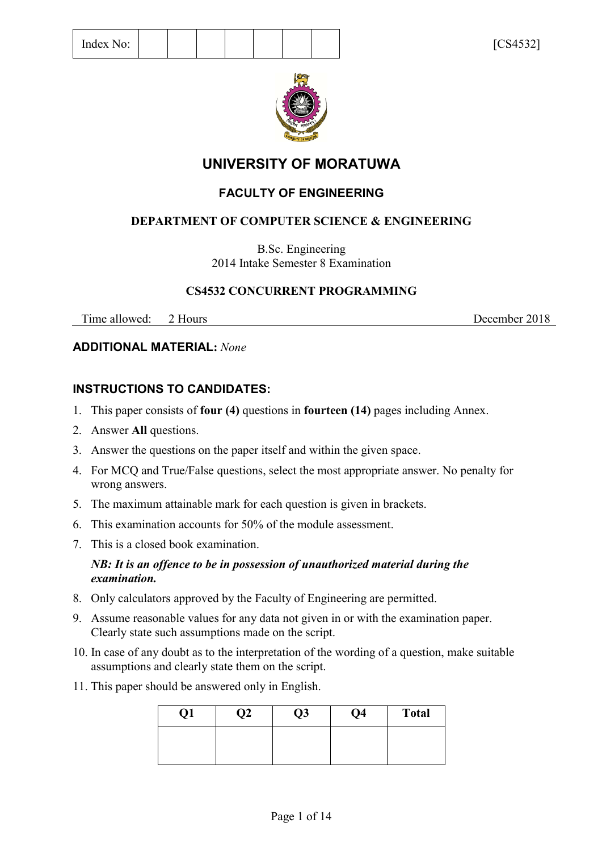

# **UNIVERSITY OF MORATUWA**

# **FACULTY OF ENGINEERING**

# **DEPARTMENT OF COMPUTER SCIENCE & ENGINEERING**

B.Sc. Engineering 2014 Intake Semester 8 Examination

# **CS4532 CONCURRENT PROGRAMMING**

Time allowed: 2 Hours December 2018

# **ADDITIONAL MATERIAL:** *None*

# **INSTRUCTIONS TO CANDIDATES:**

- 1. This paper consists of **four (4)** questions in **fourteen (14)** pages including Annex.
- 2. Answer **All** questions.
- 3. Answer the questions on the paper itself and within the given space.
- 4. For MCQ and True/False questions, select the most appropriate answer. No penalty for wrong answers.
- 5. The maximum attainable mark for each question is given in brackets.
- 6. This examination accounts for 50% of the module assessment.
- 7. This is a closed book examination.

## *NB: It is an offence to be in possession of unauthorized material during the examination.*

- 8. Only calculators approved by the Faculty of Engineering are permitted.
- 9. Assume reasonable values for any data not given in or with the examination paper. Clearly state such assumptions made on the script.
- 10. In case of any doubt as to the interpretation of the wording of a question, make suitable assumptions and clearly state them on the script.
- 11. This paper should be answered only in English.

| Q1 | ĮZ | Q3 | Q4 | <b>Total</b> |
|----|----|----|----|--------------|
|    |    |    |    |              |
|    |    |    |    |              |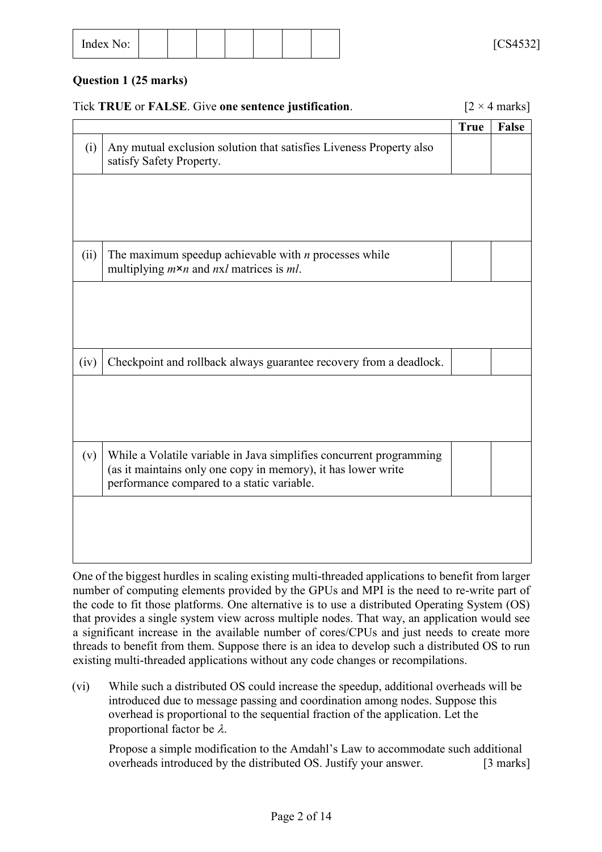| -<br>Index<br>No:<br>-------- |  |  |  |  |  |  |  | F C C A E 221<br>∼<br>UUTJJL<br>- |
|-------------------------------|--|--|--|--|--|--|--|-----------------------------------|
|-------------------------------|--|--|--|--|--|--|--|-----------------------------------|

### **Question 1 (25 marks)**

|      | Tick TRUE or FALSE. Give one sentence justification.                                                                                                                               |             | $[2 \times 4 \text{ marks}]$ |
|------|------------------------------------------------------------------------------------------------------------------------------------------------------------------------------------|-------------|------------------------------|
|      |                                                                                                                                                                                    | <b>True</b> | False                        |
| (i)  | Any mutual exclusion solution that satisfies Liveness Property also<br>satisfy Safety Property.                                                                                    |             |                              |
|      |                                                                                                                                                                                    |             |                              |
| (ii) | The maximum speedup achievable with $n$ processes while                                                                                                                            |             |                              |
|      | multiplying $m \times n$ and $n \times l$ matrices is ml.                                                                                                                          |             |                              |
|      |                                                                                                                                                                                    |             |                              |
| (iv) | Checkpoint and rollback always guarantee recovery from a deadlock.                                                                                                                 |             |                              |
|      |                                                                                                                                                                                    |             |                              |
|      |                                                                                                                                                                                    |             |                              |
| (v)  | While a Volatile variable in Java simplifies concurrent programming<br>(as it maintains only one copy in memory), it has lower write<br>performance compared to a static variable. |             |                              |
|      |                                                                                                                                                                                    |             |                              |
|      |                                                                                                                                                                                    |             |                              |
|      |                                                                                                                                                                                    |             |                              |

One of the biggest hurdles in scaling existing multi-threaded applications to benefit from larger number of computing elements provided by the GPUs and MPI is the need to re-write part of the code to fit those platforms. One alternative is to use a distributed Operating System (OS) that provides a single system view across multiple nodes. That way, an application would see a significant increase in the available number of cores/CPUs and just needs to create more threads to benefit from them. Suppose there is an idea to develop such a distributed OS to run existing multi-threaded applications without any code changes or recompilations.

(vi) While such a distributed OS could increase the speedup, additional overheads will be introduced due to message passing and coordination among nodes. Suppose this overhead is proportional to the sequential fraction of the application. Let the proportional factor be  $\lambda$ .

Propose a simple modification to the Amdahl's Law to accommodate such additional overheads introduced by the distributed OS. Justify your answer. [3 marks]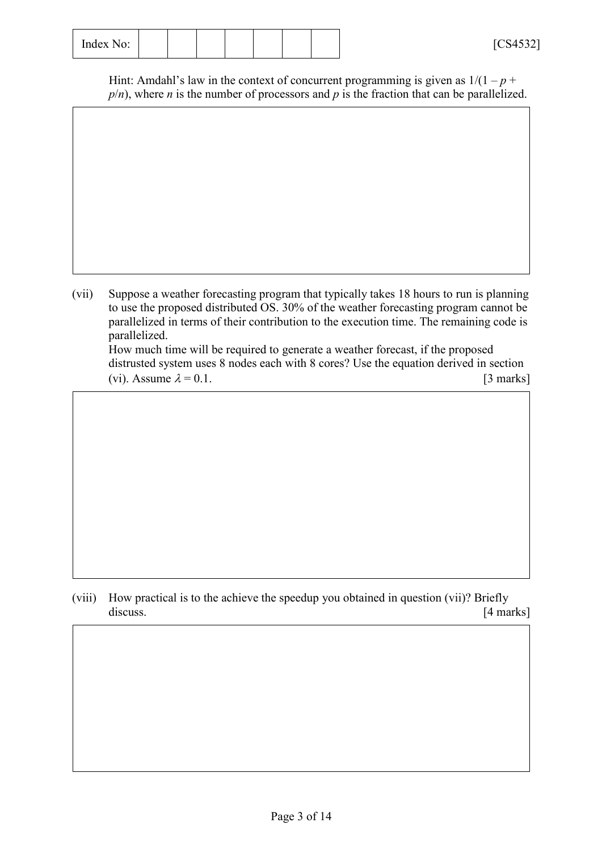| $\sim$<br>Index<br>$N\Omega$ .<br>10.<br>---------- |  |  |  |  |  |  |  | F C C A E 221<br>. .<br>UUTJJL<br>- |
|-----------------------------------------------------|--|--|--|--|--|--|--|-------------------------------------|
|-----------------------------------------------------|--|--|--|--|--|--|--|-------------------------------------|

Hint: Amdahl's law in the context of concurrent programming is given as  $1/(1-p +$  $p/n$ , where *n* is the number of processors and *p* is the fraction that can be parallelized.

(vii) Suppose a weather forecasting program that typically takes 18 hours to run is planning to use the proposed distributed OS. 30% of the weather forecasting program cannot be parallelized in terms of their contribution to the execution time. The remaining code is parallelized. How much time will be required to generate a weather forecast, if the proposed distrusted system uses 8 nodes each with 8 cores? Use the equation derived in section

(vi). Assume  $\lambda = 0.1$ . [3 marks]

(viii) How practical is to the achieve the speedup you obtained in question (vii)? Briefly discuss. [4 marks]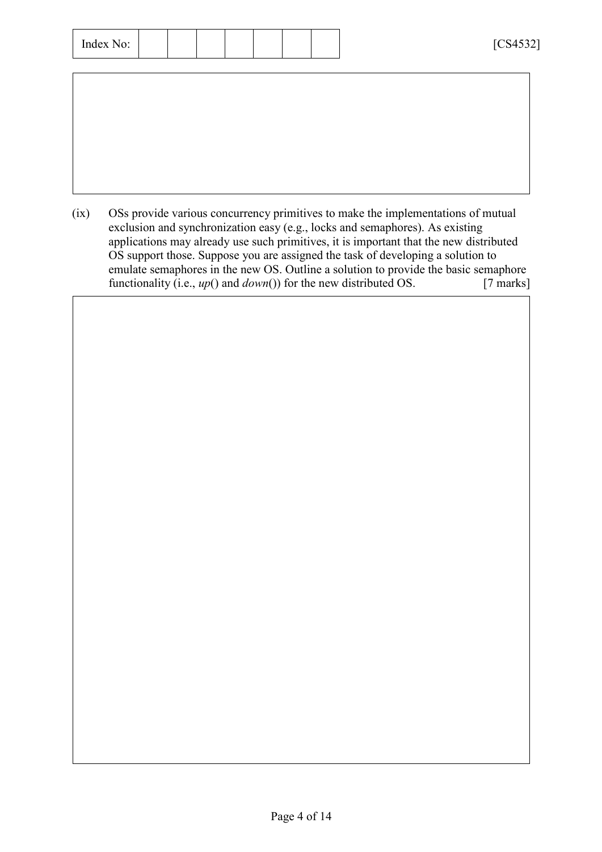| $\sim$ $\sim$<br>Index 1<br>No: |  |  |  |  |  |  |  | $F \cap C \cup F \cap D$<br>╲╩<br>CUTUZ 2<br>- |
|---------------------------------|--|--|--|--|--|--|--|------------------------------------------------|
|---------------------------------|--|--|--|--|--|--|--|------------------------------------------------|

(ix) OSs provide various concurrency primitives to make the implementations of mutual exclusion and synchronization easy (e.g., locks and semaphores). As existing applications may already use such primitives, it is important that the new distributed OS support those. Suppose you are assigned the task of developing a solution to emulate semaphores in the new OS. Outline a solution to provide the basic semaphore functionality (i.e., *up*() and *down*()) for the new distributed OS. [7 marks]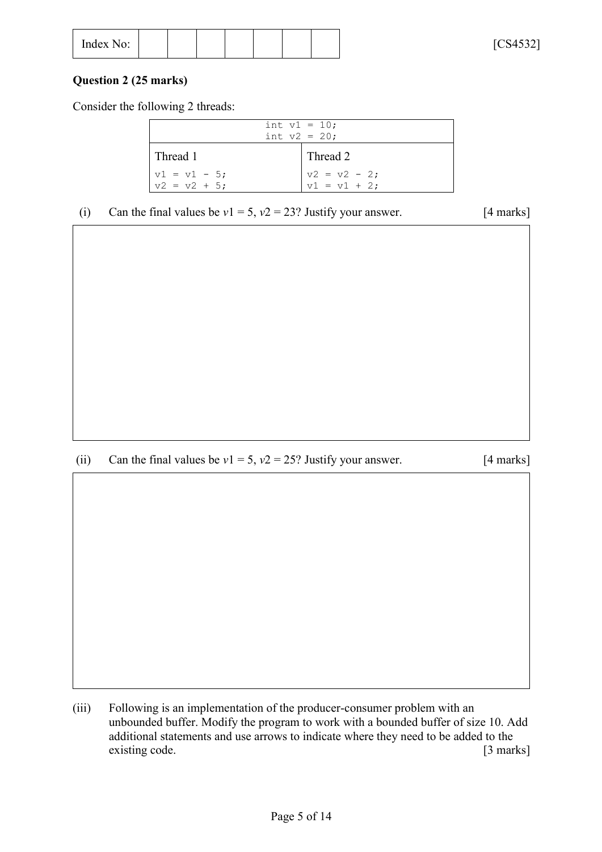| $\overline{\phantom{a}}$<br>Index No: |
|---------------------------------------|
|---------------------------------------|

### **Question 2 (25 marks)**

Consider the following 2 threads:

|                                   | int $v1 = 10$ ;<br>int $v2 = 20$ ;                       |
|-----------------------------------|----------------------------------------------------------|
| l Thread 1                        | Thread 2                                                 |
| $v1 = v1 - 5$ ;<br>$v2 = v2 + 5;$ | $\begin{cases} v2 = v2 - 2; \\ v1 = v1 + 2; \end{cases}$ |

(i) Can the final values be  $v1 = 5$ ,  $v2 = 23$ ? Justify your answer. [4 marks]

(ii) Can the final values be  $v1 = 5$ ,  $v2 = 25$ ? Justify your answer. [4 marks]

(iii) Following is an implementation of the producer-consumer problem with an unbounded buffer. Modify the program to work with a bounded buffer of size 10. Add additional statements and use arrows to indicate where they need to be added to the existing code. [3 marks]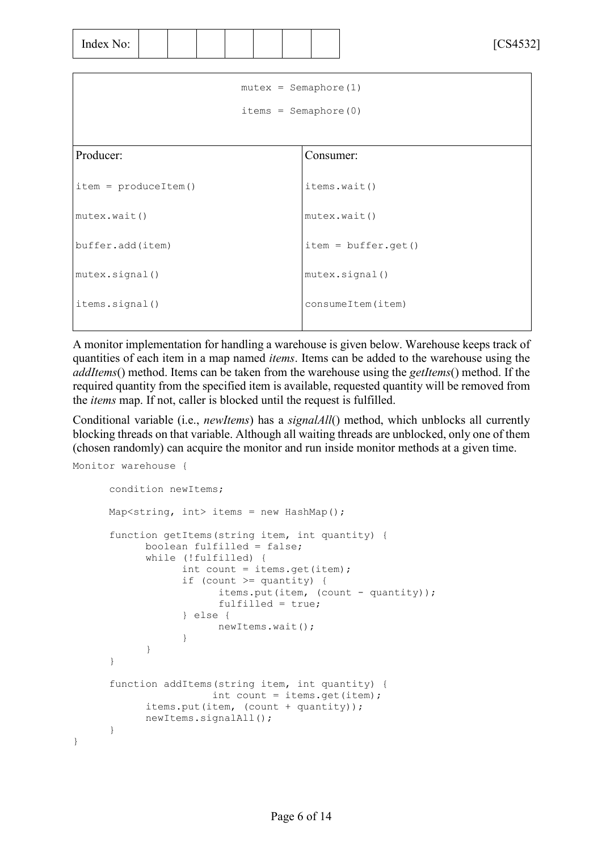| - -<br>$\overline{\phantom{a}}$<br>Index<br>No.<br>$\mathbf{H} \mathbf{u} \mathbf{v}$ $\mathbf{A} \mathbf{v} \mathbf{v}$ |  |  |  |  |  |  |  | F C C A E 221<br>.<br>$\overline{\phantom{a}}$<br>ັ<br>- |
|--------------------------------------------------------------------------------------------------------------------------|--|--|--|--|--|--|--|----------------------------------------------------------|
|--------------------------------------------------------------------------------------------------------------------------|--|--|--|--|--|--|--|----------------------------------------------------------|

| $mutes = Semaphore(1)$  |                       |  |  |  |  |  |  |
|-------------------------|-----------------------|--|--|--|--|--|--|
| $items = Semaphore(0)$  |                       |  |  |  |  |  |  |
|                         |                       |  |  |  |  |  |  |
| Producer:               | Consumer:             |  |  |  |  |  |  |
| $item = producedItem()$ | items.wait()          |  |  |  |  |  |  |
| mutes.walk()            | mutes.wait()          |  |  |  |  |  |  |
| buffer.add(item)        | $item = buffer.get()$ |  |  |  |  |  |  |
| mutex.signal()          | mutex.signal()        |  |  |  |  |  |  |
| items.signal()          | consumeItem(item)     |  |  |  |  |  |  |
|                         |                       |  |  |  |  |  |  |

A monitor implementation for handling a warehouse is given below. Warehouse keeps track of quantities of each item in a map named *items*. Items can be added to the warehouse using the *addItems*() method. Items can be taken from the warehouse using the *getItems*() method. If the required quantity from the specified item is available, requested quantity will be removed from the *items* map. If not, caller is blocked until the request is fulfilled.

Conditional variable (i.e., *newItems*) has a *signalAll*() method, which unblocks all currently blocking threads on that variable. Although all waiting threads are unblocked, only one of them (chosen randomly) can acquire the monitor and run inside monitor methods at a given time.

```
Monitor warehouse {
```
}

```
condition newItems;
Map<string, int> items = new HashMap();
function getItems(string item, int quantity) {
      boolean fulfilled = false;
      while (!fulfilled) {
            int count = items.get(item);
            if (count >= quantity) { 
                  items.put(item, (count - quantity));
                  fulfilled = true;
            } else {
                 newItems.wait();
            }
      }
}
function addItems(string item, int quantity) {
                 int count = items.get(item);
      items.put(item, (count + quantity));
      newItems.signalAll();
}
```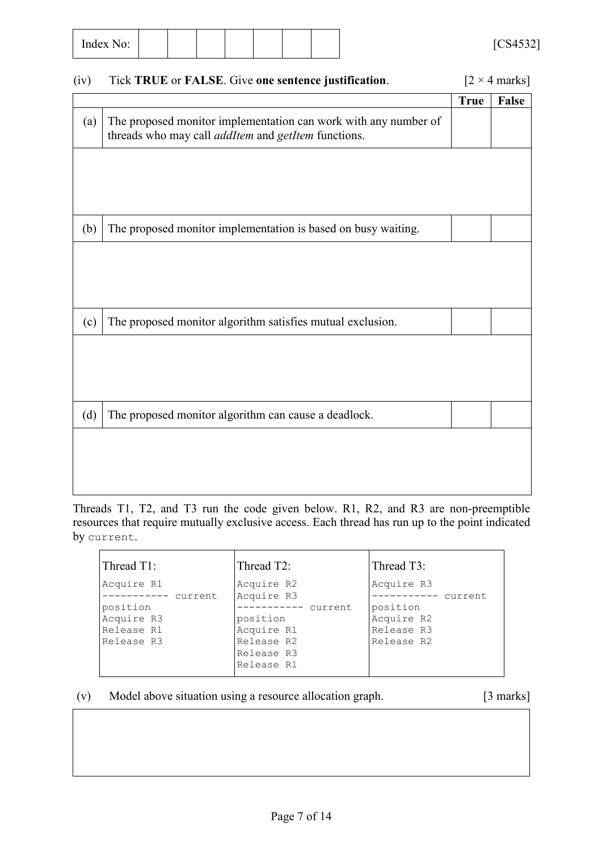| $\sim$ $\sim$<br>Index J<br>No: |  |  |  |  |  |  |  | $F \cap C \cup F \cap D$<br>84.<br>CUTUZ 2<br>- |
|---------------------------------|--|--|--|--|--|--|--|-------------------------------------------------|
|---------------------------------|--|--|--|--|--|--|--|-------------------------------------------------|

# (iv) Tick **TRUE** or **FALSE**. Give **one sentence justification**. [2 × 4 marks]

|     |                                                                                                                                      | <b>True</b> | False |
|-----|--------------------------------------------------------------------------------------------------------------------------------------|-------------|-------|
| (a) | The proposed monitor implementation can work with any number of<br>threads who may call <i>addItem</i> and <i>getItem</i> functions. |             |       |
|     |                                                                                                                                      |             |       |
|     |                                                                                                                                      |             |       |
|     |                                                                                                                                      |             |       |
| (b) | The proposed monitor implementation is based on busy waiting.                                                                        |             |       |
|     |                                                                                                                                      |             |       |
|     |                                                                                                                                      |             |       |
|     |                                                                                                                                      |             |       |
| (c) | The proposed monitor algorithm satisfies mutual exclusion.                                                                           |             |       |
|     |                                                                                                                                      |             |       |
|     |                                                                                                                                      |             |       |
|     |                                                                                                                                      |             |       |
| (d) | The proposed monitor algorithm can cause a deadlock.                                                                                 |             |       |
|     |                                                                                                                                      |             |       |
|     |                                                                                                                                      |             |       |
|     |                                                                                                                                      |             |       |

Threads T1, T2, and T3 run the code given below. R1, R2, and R3 are non-preemptible resources that require mutually exclusive access. Each thread has run up to the point indicated by current.

| Thread T1:                                                                            | Thread T2:                                                                                                         | Thread T3:                                                                             |
|---------------------------------------------------------------------------------------|--------------------------------------------------------------------------------------------------------------------|----------------------------------------------------------------------------------------|
| Acquire R1<br>current<br>------<br>position<br>Acquire R3<br>Release R1<br>Release R3 | Acquire R2<br>Acquire R3<br>---------- current<br>position<br>Acquire R1<br>Release R2<br>Release R3<br>Release R1 | Acquire R3<br>current.<br>------<br>position<br>Acquire R2<br>Release R3<br>Release R2 |
|                                                                                       |                                                                                                                    |                                                                                        |

## (v) Model above situation using a resource allocation graph. [3 marks]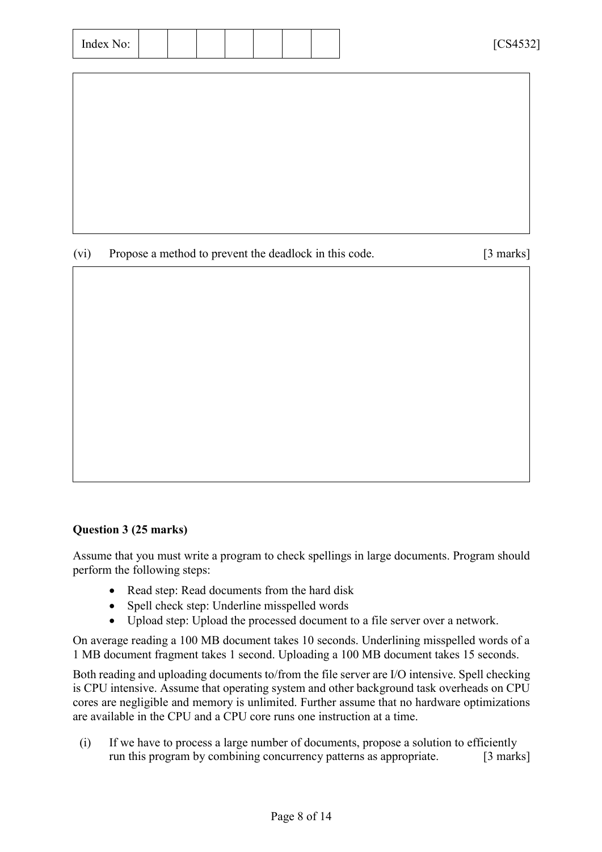|  |  |  | FCTA F221<br>◡◡⊤◡◡∠<br>- |
|--|--|--|--------------------------|
|  |  |  |                          |

(vi) Propose a method to prevent the deadlock in this code. [3 marks]

### **Question 3 (25 marks)**

Assume that you must write a program to check spellings in large documents. Program should perform the following steps:

- Read step: Read documents from the hard disk
- Spell check step: Underline misspelled words
- Upload step: Upload the processed document to a file server over a network.

On average reading a 100 MB document takes 10 seconds. Underlining misspelled words of a 1 MB document fragment takes 1 second. Uploading a 100 MB document takes 15 seconds.

Both reading and uploading documents to/from the file server are I/O intensive. Spell checking is CPU intensive. Assume that operating system and other background task overheads on CPU cores are negligible and memory is unlimited. Further assume that no hardware optimizations are available in the CPU and a CPU core runs one instruction at a time.

(i) If we have to process a large number of documents, propose a solution to efficiently run this program by combining concurrency patterns as appropriate. [3 marks]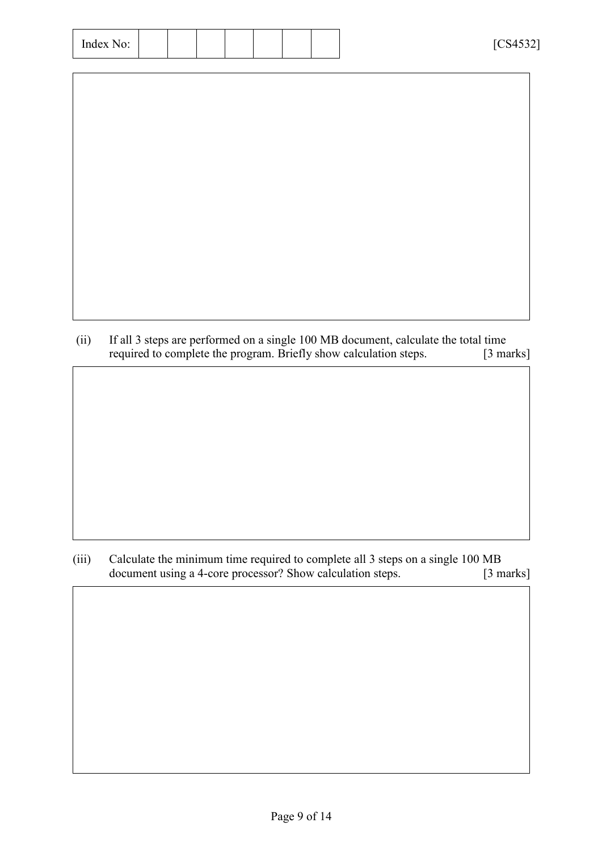| Index No: |
|-----------|
|-----------|

| (ii) | If all 3 steps are performed on a single 100 MB document, calculate the total time |                                 |
|------|------------------------------------------------------------------------------------|---------------------------------|
|      | required to complete the program. Briefly show calculation steps.                  | $\lceil 3 \text{ marks} \rceil$ |

(iii) Calculate the minimum time required to complete all 3 steps on a single 100 MB document using a 4-core processor? Show calculation steps. [3 marks]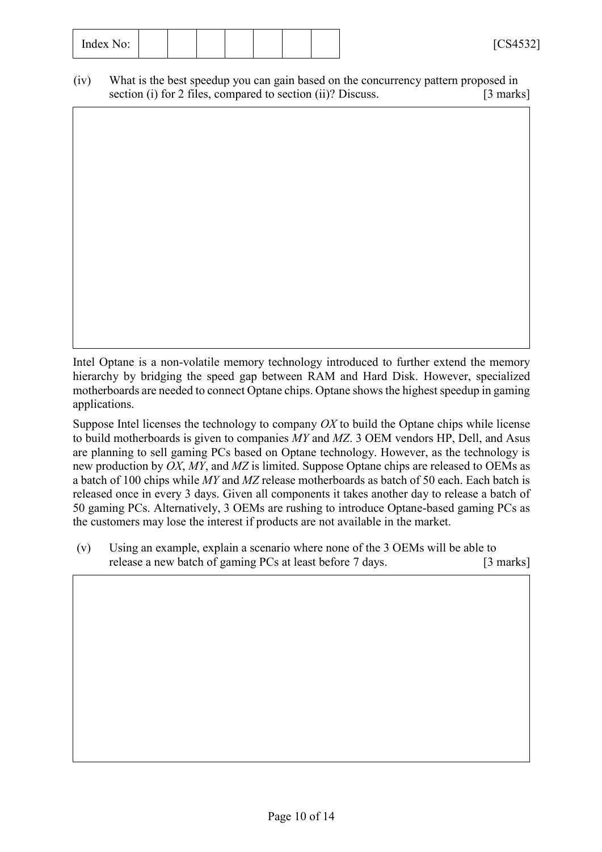(iv) What is the best speedup you can gain based on the concurrency pattern proposed in section (i) for 2 files, compared to section (ii)? Discuss. [3 marks]

Intel Optane is a non-volatile memory technology introduced to further extend the memory hierarchy by bridging the speed gap between RAM and Hard Disk. However, specialized motherboards are needed to connect Optane chips. Optane shows the highest speedup in gaming applications.

Suppose Intel licenses the technology to company *OX* to build the Optane chips while license to build motherboards is given to companies *MY* and *MZ*. 3 OEM vendors HP, Dell, and Asus are planning to sell gaming PCs based on Optane technology. However, as the technology is new production by *OX*, *MY*, and *MZ* is limited. Suppose Optane chips are released to OEMs as a batch of 100 chips while *MY* and *MZ* release motherboards as batch of 50 each. Each batch is released once in every 3 days. Given all components it takes another day to release a batch of 50 gaming PCs. Alternatively, 3 OEMs are rushing to introduce Optane-based gaming PCs as the customers may lose the interest if products are not available in the market.

(v) Using an example, explain a scenario where none of the 3 OEMs will be able to release a new batch of gaming PCs at least before 7 days. [3 marks]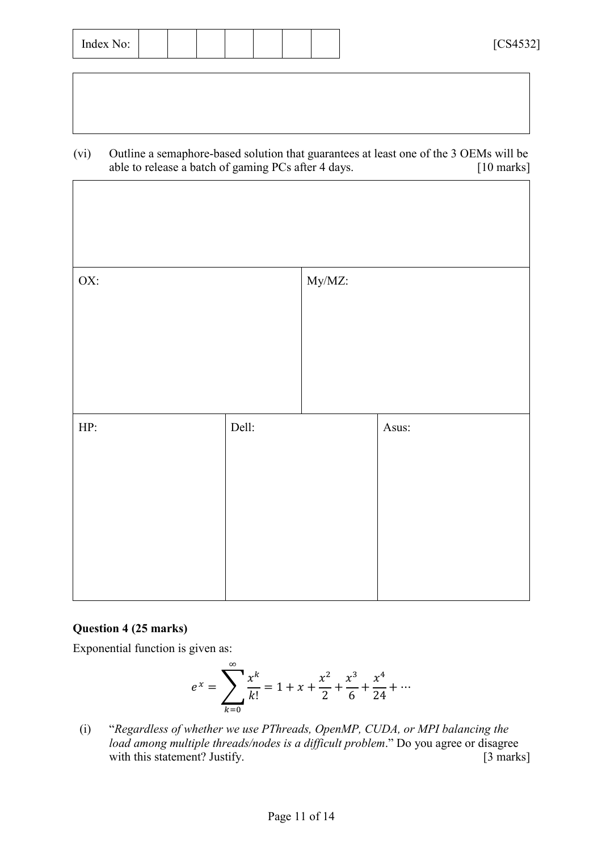| $\mathbf{r}$<br>$\sim$ $\sim$<br>Index No: |  |  |  |  |  |  |  | TCRA<br>94.<br>CUTUZ 2<br>- |
|--------------------------------------------|--|--|--|--|--|--|--|-----------------------------|
|--------------------------------------------|--|--|--|--|--|--|--|-----------------------------|

(vi) Outline a semaphore-based solution that guarantees at least one of the 3 OEMs will be able to release a batch of gaming PCs after 4 days. [10 marks]

| OX: |       | My/MZ: |       |
|-----|-------|--------|-------|
| HP: | Dell: |        | Asus: |
|     |       |        |       |

### **Question 4 (25 marks)**

Exponential function is given as:

$$
e^{x} = \sum_{k=0}^{\infty} \frac{x^{k}}{k!} = 1 + x + \frac{x^{2}}{2} + \frac{x^{3}}{6} + \frac{x^{4}}{24} + \cdots
$$

(i) "*Regardless of whether we use PThreads, OpenMP, CUDA, or MPI balancing the load among multiple threads/nodes is a difficult problem*." Do you agree or disagree with this statement? Justify. [3 marks]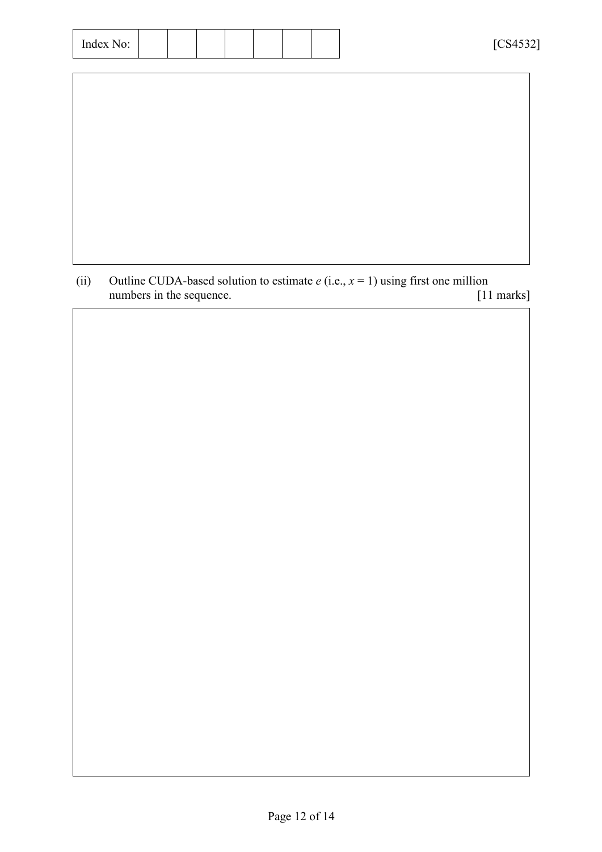| Index No: |
|-----------|
|-----------|

(ii) Outline CUDA-based solution to estimate  $e$  (i.e.,  $x = 1$ ) using first one million numbers in the sequence. [11 marks] numbers in the sequence.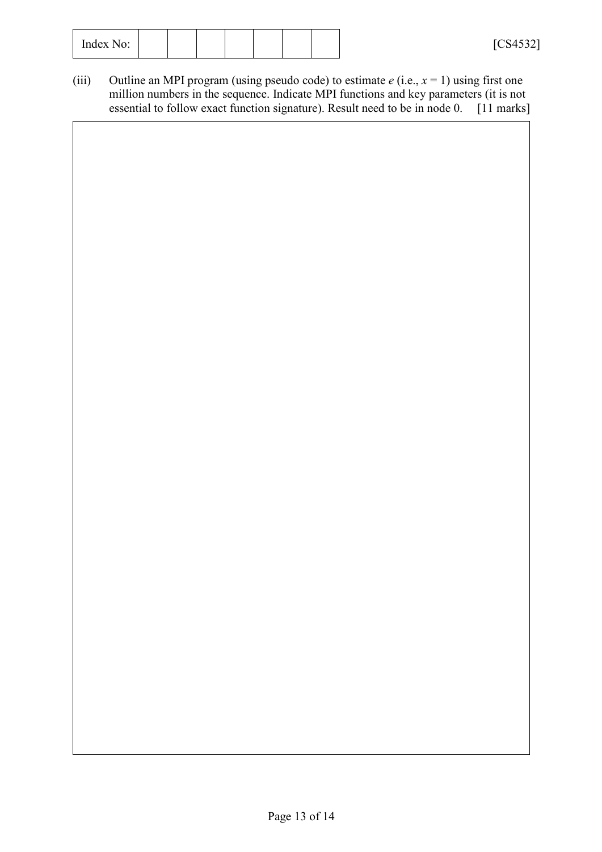(iii) Outline an MPI program (using pseudo code) to estimate  $e$  (i.e.,  $x = 1$ ) using first one million numbers in the sequence. Indicate MPI functions and key parameters (it is not essential to follow exact function signature). Result need to be in node 0. [11 marks]